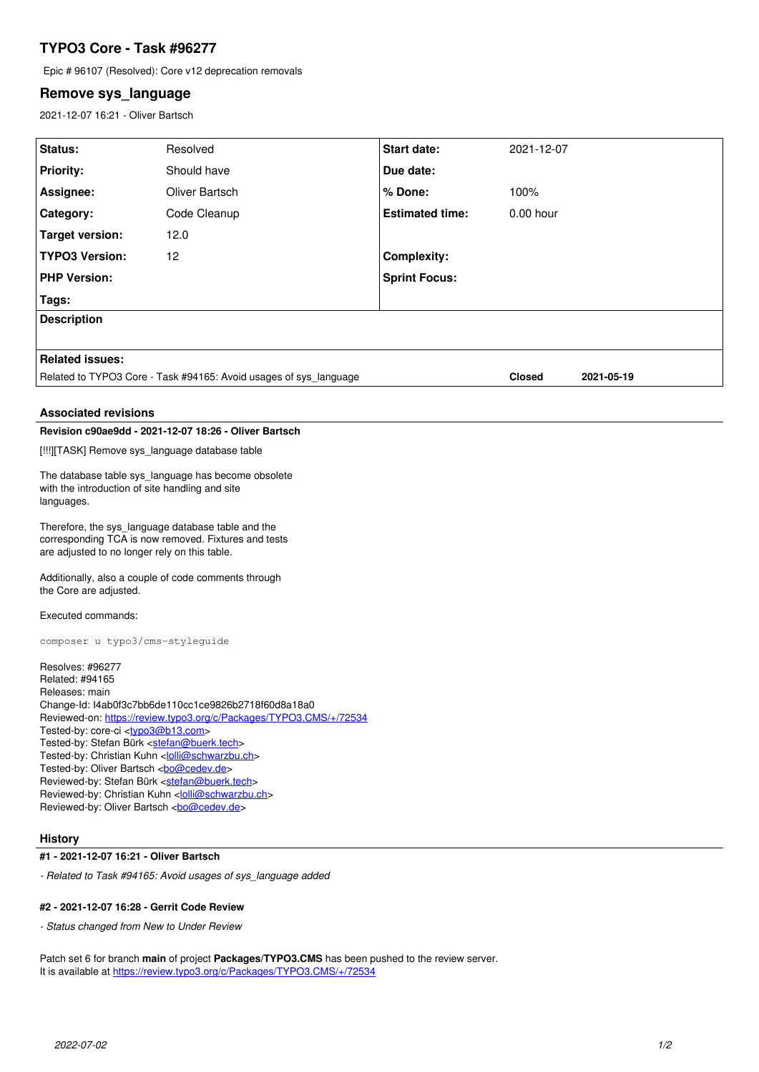# **TYPO3 Core - Task #96277**

Epic # 96107 (Resolved): Core v12 deprecation removals

# **Remove sys\_language**

2021-12-07 16:21 - Oliver Bartsch

| Status:                                                                                                                                                                                                                                                                                                                                                                                                                                                                                                                                                                     | Resolved       | <b>Start date:</b>     | 2021-12-07    |            |
|-----------------------------------------------------------------------------------------------------------------------------------------------------------------------------------------------------------------------------------------------------------------------------------------------------------------------------------------------------------------------------------------------------------------------------------------------------------------------------------------------------------------------------------------------------------------------------|----------------|------------------------|---------------|------------|
| <b>Priority:</b>                                                                                                                                                                                                                                                                                                                                                                                                                                                                                                                                                            | Should have    | Due date:              |               |            |
| Assignee:                                                                                                                                                                                                                                                                                                                                                                                                                                                                                                                                                                   | Oliver Bartsch | % Done:                | 100%          |            |
| Category:                                                                                                                                                                                                                                                                                                                                                                                                                                                                                                                                                                   | Code Cleanup   | <b>Estimated time:</b> | 0.00 hour     |            |
| <b>Target version:</b>                                                                                                                                                                                                                                                                                                                                                                                                                                                                                                                                                      | 12.0           |                        |               |            |
| <b>TYPO3 Version:</b>                                                                                                                                                                                                                                                                                                                                                                                                                                                                                                                                                       | 12             | <b>Complexity:</b>     |               |            |
| <b>PHP Version:</b>                                                                                                                                                                                                                                                                                                                                                                                                                                                                                                                                                         |                | <b>Sprint Focus:</b>   |               |            |
| Tags:                                                                                                                                                                                                                                                                                                                                                                                                                                                                                                                                                                       |                |                        |               |            |
| <b>Description</b>                                                                                                                                                                                                                                                                                                                                                                                                                                                                                                                                                          |                |                        |               |            |
|                                                                                                                                                                                                                                                                                                                                                                                                                                                                                                                                                                             |                |                        |               |            |
| <b>Related issues:</b>                                                                                                                                                                                                                                                                                                                                                                                                                                                                                                                                                      |                |                        |               |            |
| Related to TYPO3 Core - Task #94165: Avoid usages of sys_language                                                                                                                                                                                                                                                                                                                                                                                                                                                                                                           |                |                        | <b>Closed</b> | 2021-05-19 |
| <b>Associated revisions</b>                                                                                                                                                                                                                                                                                                                                                                                                                                                                                                                                                 |                |                        |               |            |
| Revision c90ae9dd - 2021-12-07 18:26 - Oliver Bartsch                                                                                                                                                                                                                                                                                                                                                                                                                                                                                                                       |                |                        |               |            |
| [!!!][TASK] Remove sys_language database table                                                                                                                                                                                                                                                                                                                                                                                                                                                                                                                              |                |                        |               |            |
| The database table sys_language has become obsolete<br>with the introduction of site handling and site<br>languages.                                                                                                                                                                                                                                                                                                                                                                                                                                                        |                |                        |               |            |
| Therefore, the sys_language database table and the<br>corresponding TCA is now removed. Fixtures and tests<br>are adjusted to no longer rely on this table.                                                                                                                                                                                                                                                                                                                                                                                                                 |                |                        |               |            |
| Additionally, also a couple of code comments through<br>the Core are adjusted.                                                                                                                                                                                                                                                                                                                                                                                                                                                                                              |                |                        |               |            |
| Executed commands:                                                                                                                                                                                                                                                                                                                                                                                                                                                                                                                                                          |                |                        |               |            |
| composer u typo3/cms-stylequide                                                                                                                                                                                                                                                                                                                                                                                                                                                                                                                                             |                |                        |               |            |
| Resolves: #96277<br>Related: #94165<br>Releases: main<br>Change-Id: I4ab0f3c7bb6de110cc1ce9826b2718f60d8a18a0<br>Reviewed-on: https://review.typo3.org/c/Packages/TYPO3.CMS/+/72534<br>Tested-by: core-ci <typo3@b13.com><br/>Tested-by: Stefan Bürk <stefan@buerk.tech><br/>Tested-by: Christian Kuhn <lolli@schwarzbu.ch><br/>Tested-by: Oliver Bartsch <br/> com<br/>Reviewed-by: Stefan Bürk <stefan@buerk.tech><br/>Reviewed-by: Christian Kuhn <lolli@schwarzbu.ch></lolli@schwarzbu.ch></stefan@buerk.tech></lolli@schwarzbu.ch></stefan@buerk.tech></typo3@b13.com> |                |                        |               |            |
| <b>History</b>                                                                                                                                                                                                                                                                                                                                                                                                                                                                                                                                                              |                |                        |               |            |
| #1 - 2021-12-07 16:21 - Oliver Bartsch                                                                                                                                                                                                                                                                                                                                                                                                                                                                                                                                      |                |                        |               |            |

*- Related to Task #94165: Avoid usages of sys\_language added*

#### **#2 - 2021-12-07 16:28 - Gerrit Code Review**

*- Status changed from New to Under Review*

Patch set 6 for branch **main** of project **Packages/TYPO3.CMS** has been pushed to the review server. It is available at <https://review.typo3.org/c/Packages/TYPO3.CMS/+/72534>